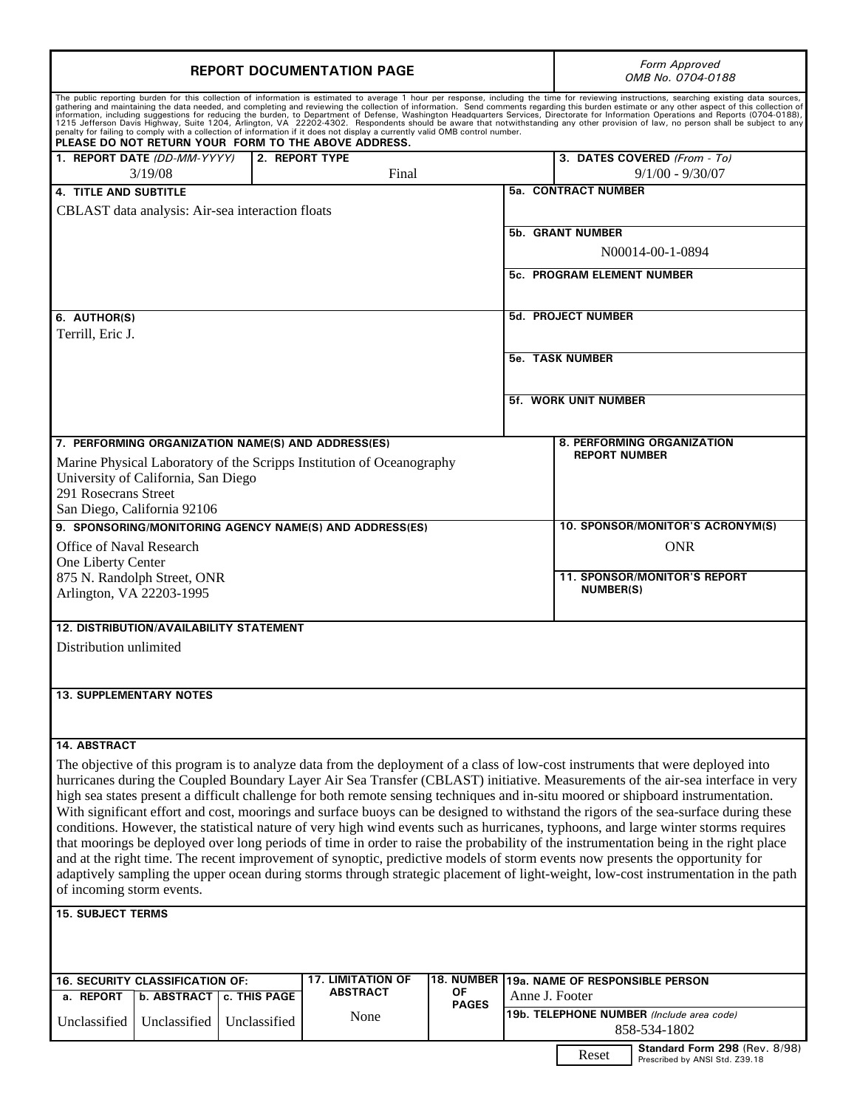| <b>REPORT DOCUMENTATION PAGE</b>                                                                                                                                                                                                                                     |              |      |              |                                                    | Form Approved<br>OMB No. 0704-0188                                                                                                                                                                                             |                             |
|----------------------------------------------------------------------------------------------------------------------------------------------------------------------------------------------------------------------------------------------------------------------|--------------|------|--------------|----------------------------------------------------|--------------------------------------------------------------------------------------------------------------------------------------------------------------------------------------------------------------------------------|-----------------------------|
| PLEASE DO NOT RETURN YOUR FORM TO THE ABOVE ADDRESS.                                                                                                                                                                                                                 |              |      |              |                                                    | The public reporting burden for this collection of information is estimated to average 1 hour per response, including the time for reviewing instructions, searching existing data sources, gathering and maintaining the data |                             |
| 1. REPORT DATE (DD-MM-YYYY)<br>2. REPORT TYPE<br>Final<br>3/19/08                                                                                                                                                                                                    |              |      |              |                                                    | 3. DATES COVERED (From - To)<br>$9/1/00 - 9/30/07$                                                                                                                                                                             |                             |
| <b>4. TITLE AND SUBTITLE</b>                                                                                                                                                                                                                                         |              |      |              |                                                    | <b>5a. CONTRACT NUMBER</b>                                                                                                                                                                                                     |                             |
| CBLAST data analysis: Air-sea interaction floats                                                                                                                                                                                                                     |              |      |              |                                                    |                                                                                                                                                                                                                                |                             |
|                                                                                                                                                                                                                                                                      |              |      |              | <b>5b. GRANT NUMBER</b>                            |                                                                                                                                                                                                                                |                             |
|                                                                                                                                                                                                                                                                      |              |      |              | N00014-00-1-0894                                   |                                                                                                                                                                                                                                |                             |
|                                                                                                                                                                                                                                                                      |              |      |              | <b>5c. PROGRAM ELEMENT NUMBER</b>                  |                                                                                                                                                                                                                                |                             |
|                                                                                                                                                                                                                                                                      |              |      |              |                                                    |                                                                                                                                                                                                                                |                             |
| 6. AUTHOR(S)                                                                                                                                                                                                                                                         |              |      |              | <b>5d. PROJECT NUMBER</b>                          |                                                                                                                                                                                                                                |                             |
| Terrill, Eric J.                                                                                                                                                                                                                                                     |              |      |              |                                                    |                                                                                                                                                                                                                                |                             |
|                                                                                                                                                                                                                                                                      |              |      |              | <b>5e. TASK NUMBER</b>                             |                                                                                                                                                                                                                                |                             |
|                                                                                                                                                                                                                                                                      |              |      |              |                                                    |                                                                                                                                                                                                                                | <b>5f. WORK UNIT NUMBER</b> |
|                                                                                                                                                                                                                                                                      |              |      |              |                                                    |                                                                                                                                                                                                                                |                             |
|                                                                                                                                                                                                                                                                      |              |      |              |                                                    |                                                                                                                                                                                                                                |                             |
| 7. PERFORMING ORGANIZATION NAME(S) AND ADDRESS(ES)                                                                                                                                                                                                                   |              |      |              | 8. PERFORMING ORGANIZATION<br><b>REPORT NUMBER</b> |                                                                                                                                                                                                                                |                             |
| Marine Physical Laboratory of the Scripps Institution of Oceanography<br>University of California, San Diego                                                                                                                                                         |              |      |              |                                                    |                                                                                                                                                                                                                                |                             |
| 291 Rosecrans Street                                                                                                                                                                                                                                                 |              |      |              |                                                    |                                                                                                                                                                                                                                |                             |
| San Diego, California 92106                                                                                                                                                                                                                                          |              |      |              |                                                    |                                                                                                                                                                                                                                |                             |
| 9. SPONSORING/MONITORING AGENCY NAME(S) AND ADDRESS(ES)                                                                                                                                                                                                              |              |      |              | 10. SPONSOR/MONITOR'S ACRONYM(S)                   |                                                                                                                                                                                                                                |                             |
| Office of Naval Research                                                                                                                                                                                                                                             |              |      |              |                                                    | <b>ONR</b>                                                                                                                                                                                                                     |                             |
| One Liberty Center<br>875 N. Randolph Street, ONR                                                                                                                                                                                                                    |              |      |              | <b>11. SPONSOR/MONITOR'S REPORT</b>                |                                                                                                                                                                                                                                |                             |
| Arlington, VA 22203-1995                                                                                                                                                                                                                                             |              |      |              | <b>NUMBER(S)</b>                                   |                                                                                                                                                                                                                                |                             |
|                                                                                                                                                                                                                                                                      |              |      |              |                                                    |                                                                                                                                                                                                                                |                             |
| <b>12. DISTRIBUTION/AVAILABILITY STATEMENT</b>                                                                                                                                                                                                                       |              |      |              |                                                    |                                                                                                                                                                                                                                |                             |
| Distribution unlimited                                                                                                                                                                                                                                               |              |      |              |                                                    |                                                                                                                                                                                                                                |                             |
|                                                                                                                                                                                                                                                                      |              |      |              |                                                    |                                                                                                                                                                                                                                |                             |
| <b>13. SUPPLEMENTARY NOTES</b>                                                                                                                                                                                                                                       |              |      |              |                                                    |                                                                                                                                                                                                                                |                             |
|                                                                                                                                                                                                                                                                      |              |      |              |                                                    |                                                                                                                                                                                                                                |                             |
|                                                                                                                                                                                                                                                                      |              |      |              |                                                    |                                                                                                                                                                                                                                |                             |
| 14. ABSTRACT                                                                                                                                                                                                                                                         |              |      |              |                                                    |                                                                                                                                                                                                                                |                             |
| The objective of this program is to analyze data from the deployment of a class of low-cost instruments that were deployed into<br>hurricanes during the Coupled Boundary Layer Air Sea Transfer (CBLAST) initiative. Measurements of the air-sea interface in very  |              |      |              |                                                    |                                                                                                                                                                                                                                |                             |
| high sea states present a difficult challenge for both remote sensing techniques and in-situ moored or shipboard instrumentation.                                                                                                                                    |              |      |              |                                                    |                                                                                                                                                                                                                                |                             |
| With significant effort and cost, moorings and surface buoys can be designed to withstand the rigors of the sea-surface during these                                                                                                                                 |              |      |              |                                                    |                                                                                                                                                                                                                                |                             |
| conditions. However, the statistical nature of very high wind events such as hurricanes, typhoons, and large winter storms requires                                                                                                                                  |              |      |              |                                                    |                                                                                                                                                                                                                                |                             |
|                                                                                                                                                                                                                                                                      |              |      |              |                                                    | that moorings be deployed over long periods of time in order to raise the probability of the instrumentation being in the right place                                                                                          |                             |
| and at the right time. The recent improvement of synoptic, predictive models of storm events now presents the opportunity for<br>adaptively sampling the upper ocean during storms through strategic placement of light-weight, low-cost instrumentation in the path |              |      |              |                                                    |                                                                                                                                                                                                                                |                             |
| of incoming storm events.                                                                                                                                                                                                                                            |              |      |              |                                                    |                                                                                                                                                                                                                                |                             |
| <b>15. SUBJECT TERMS</b>                                                                                                                                                                                                                                             |              |      |              |                                                    |                                                                                                                                                                                                                                |                             |
|                                                                                                                                                                                                                                                                      |              |      |              |                                                    |                                                                                                                                                                                                                                |                             |
|                                                                                                                                                                                                                                                                      |              |      |              |                                                    |                                                                                                                                                                                                                                |                             |
|                                                                                                                                                                                                                                                                      |              |      |              |                                                    |                                                                                                                                                                                                                                |                             |
| <b>17. LIMITATION OF</b><br>16. SECURITY CLASSIFICATION OF:<br><b>ABSTRACT</b><br>ΟF<br>c. THIS PAGE                                                                                                                                                                 |              |      |              |                                                    | 18. NUMBER 19a. NAME OF RESPONSIBLE PERSON<br>Anne J. Footer                                                                                                                                                                   |                             |
| a. REPORT<br><b>b. ABSTRACT</b>                                                                                                                                                                                                                                      |              |      | <b>PAGES</b> |                                                    | 19b. TELEPHONE NUMBER (Include area code)                                                                                                                                                                                      |                             |
| Unclassified<br>Unclassified                                                                                                                                                                                                                                         | Unclassified | None |              |                                                    | 858-534-1802                                                                                                                                                                                                                   |                             |
|                                                                                                                                                                                                                                                                      |              |      |              |                                                    | Standard Form 298 (Rev. 8/98)<br>Reset<br>Prescribed by ANSI Std. Z39.18                                                                                                                                                       |                             |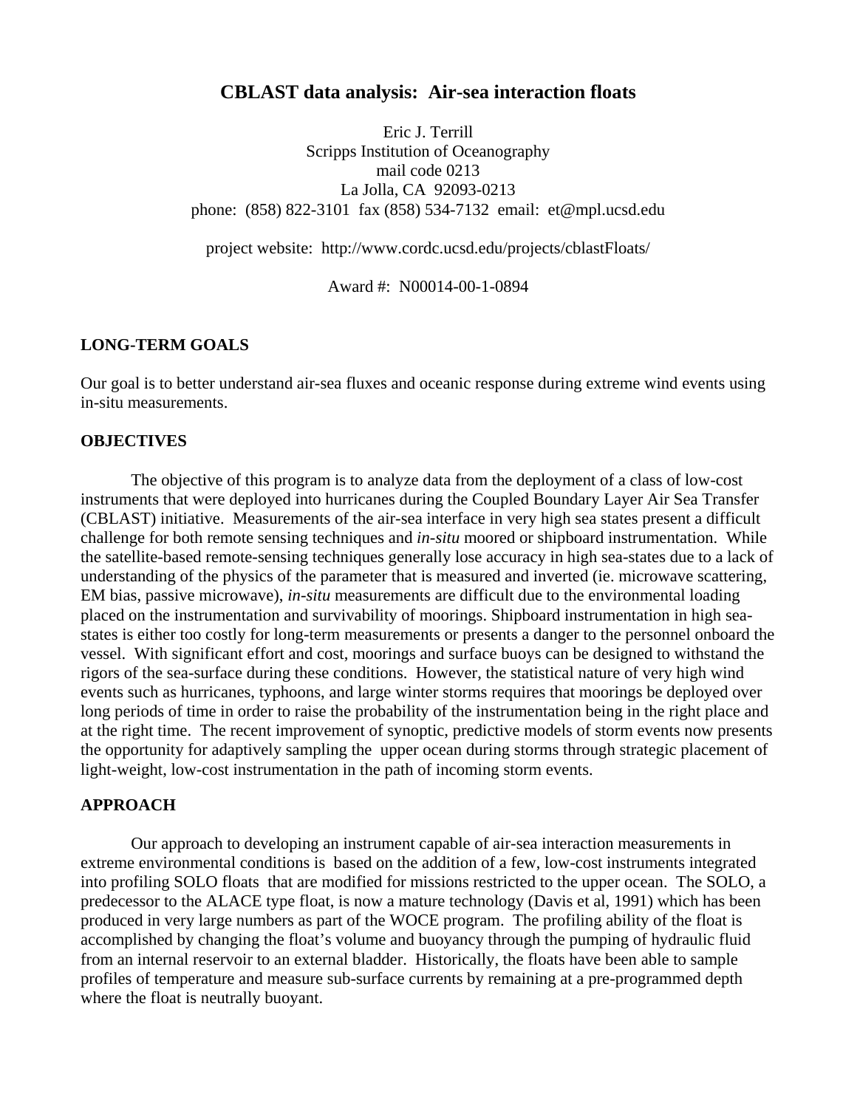## **CBLAST data analysis: Air-sea interaction floats**

Eric J. Terrill Scripps Institution of Oceanography mail code 0213 La Jolla, CA 92093-0213 phone: (858) 822-3101 fax (858) 534-7132 email: et@mpl.ucsd.edu

project website: http://www.cordc.ucsd.edu/projects/cblastFloats/

Award #: N00014-00-1-0894

#### **LONG-TERM GOALS**

Our goal is to better understand air-sea fluxes and oceanic response during extreme wind events using in-situ measurements.

### **OBJECTIVES**

The objective of this program is to analyze data from the deployment of a class of low-cost instruments that were deployed into hurricanes during the Coupled Boundary Layer Air Sea Transfer (CBLAST) initiative. Measurements of the air-sea interface in very high sea states present a difficult challenge for both remote sensing techniques and *in-situ* moored or shipboard instrumentation. While the satellite-based remote-sensing techniques generally lose accuracy in high sea-states due to a lack of understanding of the physics of the parameter that is measured and inverted (ie. microwave scattering, EM bias, passive microwave), *in-situ* measurements are difficult due to the environmental loading placed on the instrumentation and survivability of moorings. Shipboard instrumentation in high seastates is either too costly for long-term measurements or presents a danger to the personnel onboard the vessel. With significant effort and cost, moorings and surface buoys can be designed to withstand the rigors of the sea-surface during these conditions. However, the statistical nature of very high wind events such as hurricanes, typhoons, and large winter storms requires that moorings be deployed over long periods of time in order to raise the probability of the instrumentation being in the right place and at the right time. The recent improvement of synoptic, predictive models of storm events now presents the opportunity for adaptively sampling the upper ocean during storms through strategic placement of light-weight, low-cost instrumentation in the path of incoming storm events.

#### **APPROACH**

Our approach to developing an instrument capable of air-sea interaction measurements in extreme environmental conditions is based on the addition of a few, low-cost instruments integrated into profiling SOLO floats that are modified for missions restricted to the upper ocean. The SOLO, a predecessor to the ALACE type float, is now a mature technology (Davis et al, 1991) which has been produced in very large numbers as part of the WOCE program. The profiling ability of the float is accomplished by changing the float's volume and buoyancy through the pumping of hydraulic fluid from an internal reservoir to an external bladder. Historically, the floats have been able to sample profiles of temperature and measure sub-surface currents by remaining at a pre-programmed depth where the float is neutrally buoyant.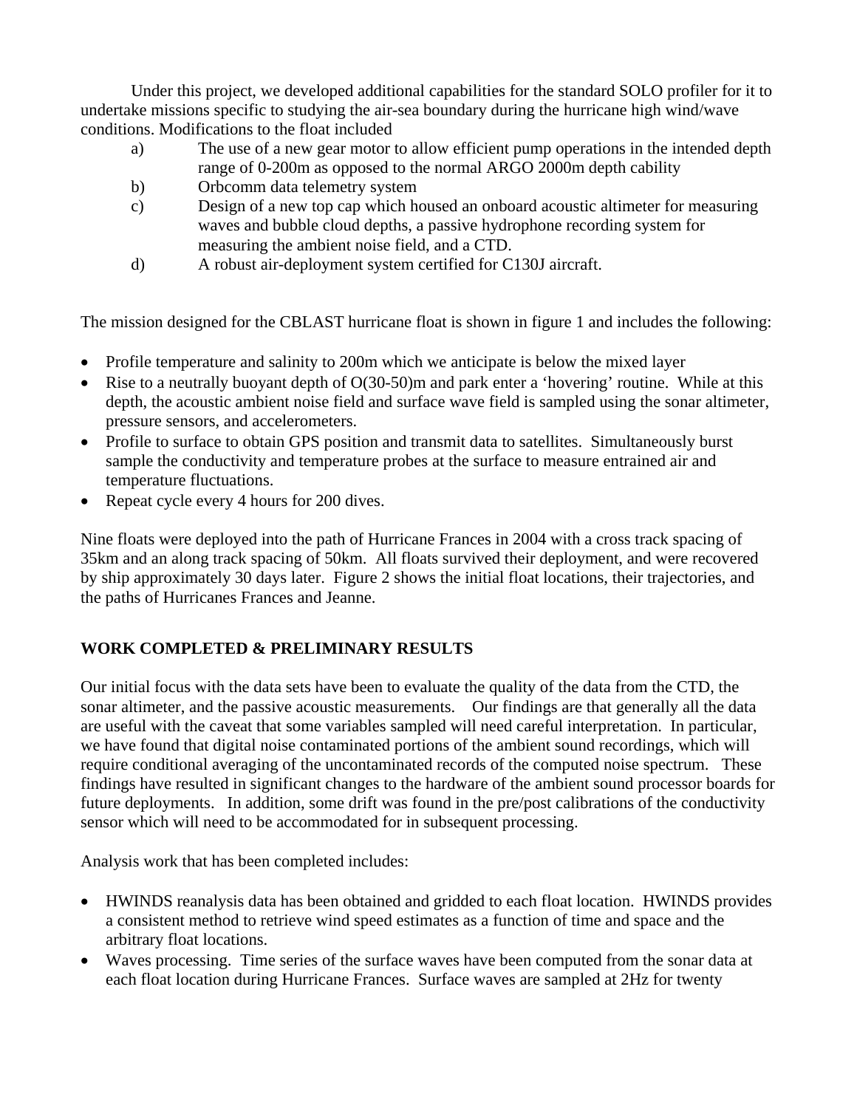Under this project, we developed additional capabilities for the standard SOLO profiler for it to undertake missions specific to studying the air-sea boundary during the hurricane high wind/wave conditions. Modifications to the float included

- a) The use of a new gear motor to allow efficient pump operations in the intended depth range of 0-200m as opposed to the normal ARGO 2000m depth cability
- b) Orbcomm data telemetry system
- c) Design of a new top cap which housed an onboard acoustic altimeter for measuring waves and bubble cloud depths, a passive hydrophone recording system for measuring the ambient noise field, and a CTD.
- d) A robust air-deployment system certified for C130J aircraft.

The mission designed for the CBLAST hurricane float is shown in figure 1 and includes the following:

- Profile temperature and salinity to 200m which we anticipate is below the mixed layer
- Rise to a neutrally buoyant depth of O(30-50)m and park enter a 'hovering' routine. While at this depth, the acoustic ambient noise field and surface wave field is sampled using the sonar altimeter, pressure sensors, and accelerometers.
- Profile to surface to obtain GPS position and transmit data to satellites. Simultaneously burst sample the conductivity and temperature probes at the surface to measure entrained air and temperature fluctuations.
- Repeat cycle every 4 hours for 200 dives.

Nine floats were deployed into the path of Hurricane Frances in 2004 with a cross track spacing of 35km and an along track spacing of 50km. All floats survived their deployment, and were recovered by ship approximately 30 days later. Figure 2 shows the initial float locations, their trajectories, and the paths of Hurricanes Frances and Jeanne.

# **WORK COMPLETED & PRELIMINARY RESULTS**

Our initial focus with the data sets have been to evaluate the quality of the data from the CTD, the sonar altimeter, and the passive acoustic measurements. Our findings are that generally all the data are useful with the caveat that some variables sampled will need careful interpretation. In particular, we have found that digital noise contaminated portions of the ambient sound recordings, which will require conditional averaging of the uncontaminated records of the computed noise spectrum. These findings have resulted in significant changes to the hardware of the ambient sound processor boards for future deployments. In addition, some drift was found in the pre/post calibrations of the conductivity sensor which will need to be accommodated for in subsequent processing.

Analysis work that has been completed includes:

- HWINDS reanalysis data has been obtained and gridded to each float location. HWINDS provides a consistent method to retrieve wind speed estimates as a function of time and space and the arbitrary float locations.
- Waves processing. Time series of the surface waves have been computed from the sonar data at each float location during Hurricane Frances. Surface waves are sampled at 2Hz for twenty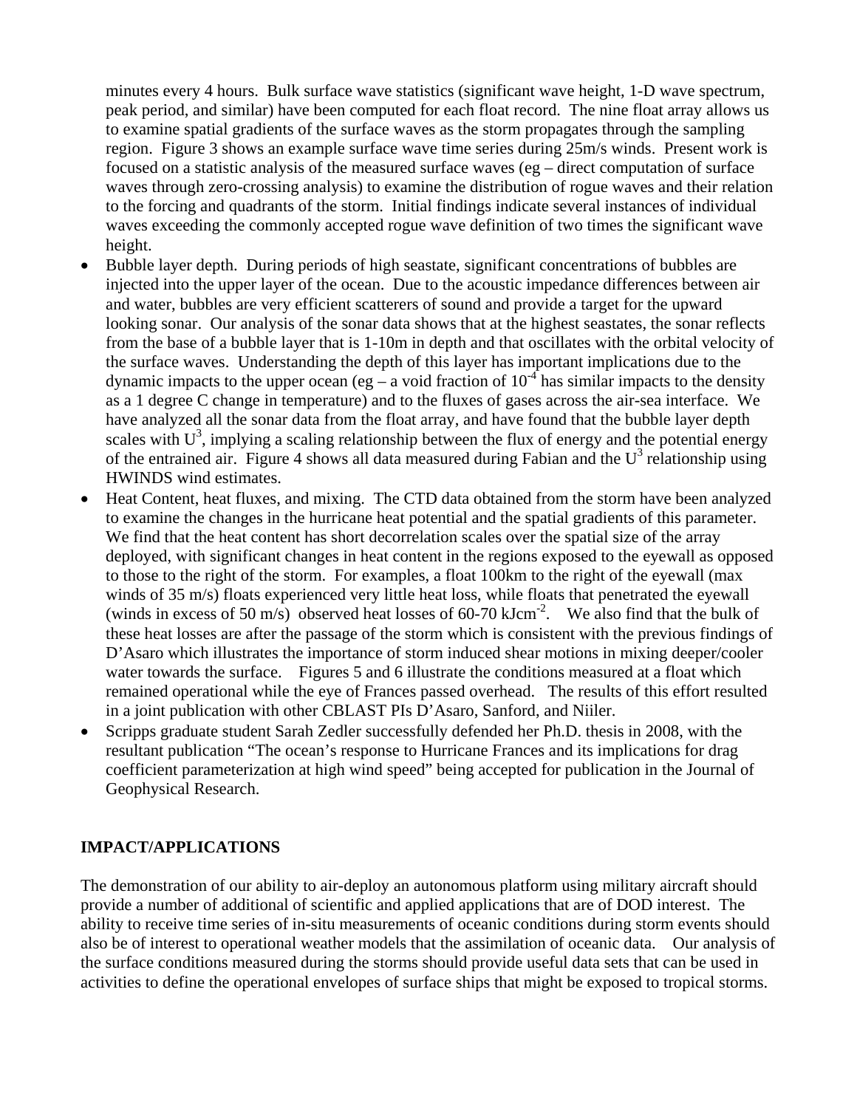minutes every 4 hours. Bulk surface wave statistics (significant wave height, 1-D wave spectrum, peak period, and similar) have been computed for each float record. The nine float array allows us to examine spatial gradients of the surface waves as the storm propagates through the sampling region. Figure 3 shows an example surface wave time series during 25m/s winds. Present work is focused on a statistic analysis of the measured surface waves (eg – direct computation of surface waves through zero-crossing analysis) to examine the distribution of rogue waves and their relation to the forcing and quadrants of the storm. Initial findings indicate several instances of individual waves exceeding the commonly accepted rogue wave definition of two times the significant wave height.

- Bubble layer depth. During periods of high seastate, significant concentrations of bubbles are injected into the upper layer of the ocean. Due to the acoustic impedance differences between air and water, bubbles are very efficient scatterers of sound and provide a target for the upward looking sonar. Our analysis of the sonar data shows that at the highest seastates, the sonar reflects from the base of a bubble layer that is 1-10m in depth and that oscillates with the orbital velocity of the surface waves. Understanding the depth of this layer has important implications due to the dynamic impacts to the upper ocean (eg – a void fraction of  $10^{-4}$  has similar impacts to the density as a 1 degree C change in temperature) and to the fluxes of gases across the air-sea interface. We have analyzed all the sonar data from the float array, and have found that the bubble layer depth scales with  $U^3$ , implying a scaling relationship between the flux of energy and the potential energy of the entrained air. Figure 4 shows all data measured during Fabian and the  $U^3$  relationship using HWINDS wind estimates.
- Heat Content, heat fluxes, and mixing. The CTD data obtained from the storm have been analyzed to examine the changes in the hurricane heat potential and the spatial gradients of this parameter. We find that the heat content has short decorrelation scales over the spatial size of the array deployed, with significant changes in heat content in the regions exposed to the eyewall as opposed to those to the right of the storm. For examples, a float 100km to the right of the eyewall (max winds of 35 m/s) floats experienced very little heat loss, while floats that penetrated the eyewall (winds in excess of 50 m/s) observed heat losses of 60-70 kJcm<sup>-2</sup>. We also find that the bulk of these heat losses are after the passage of the storm which is consistent with the previous findings of D'Asaro which illustrates the importance of storm induced shear motions in mixing deeper/cooler water towards the surface. Figures 5 and 6 illustrate the conditions measured at a float which remained operational while the eye of Frances passed overhead. The results of this effort resulted in a joint publication with other CBLAST PIs D'Asaro, Sanford, and Niiler.
- Scripps graduate student Sarah Zedler successfully defended her Ph.D. thesis in 2008, with the resultant publication "The ocean's response to Hurricane Frances and its implications for drag coefficient parameterization at high wind speed" being accepted for publication in the Journal of Geophysical Research.

## **IMPACT/APPLICATIONS**

The demonstration of our ability to air-deploy an autonomous platform using military aircraft should provide a number of additional of scientific and applied applications that are of DOD interest. The ability to receive time series of in-situ measurements of oceanic conditions during storm events should also be of interest to operational weather models that the assimilation of oceanic data. Our analysis of the surface conditions measured during the storms should provide useful data sets that can be used in activities to define the operational envelopes of surface ships that might be exposed to tropical storms.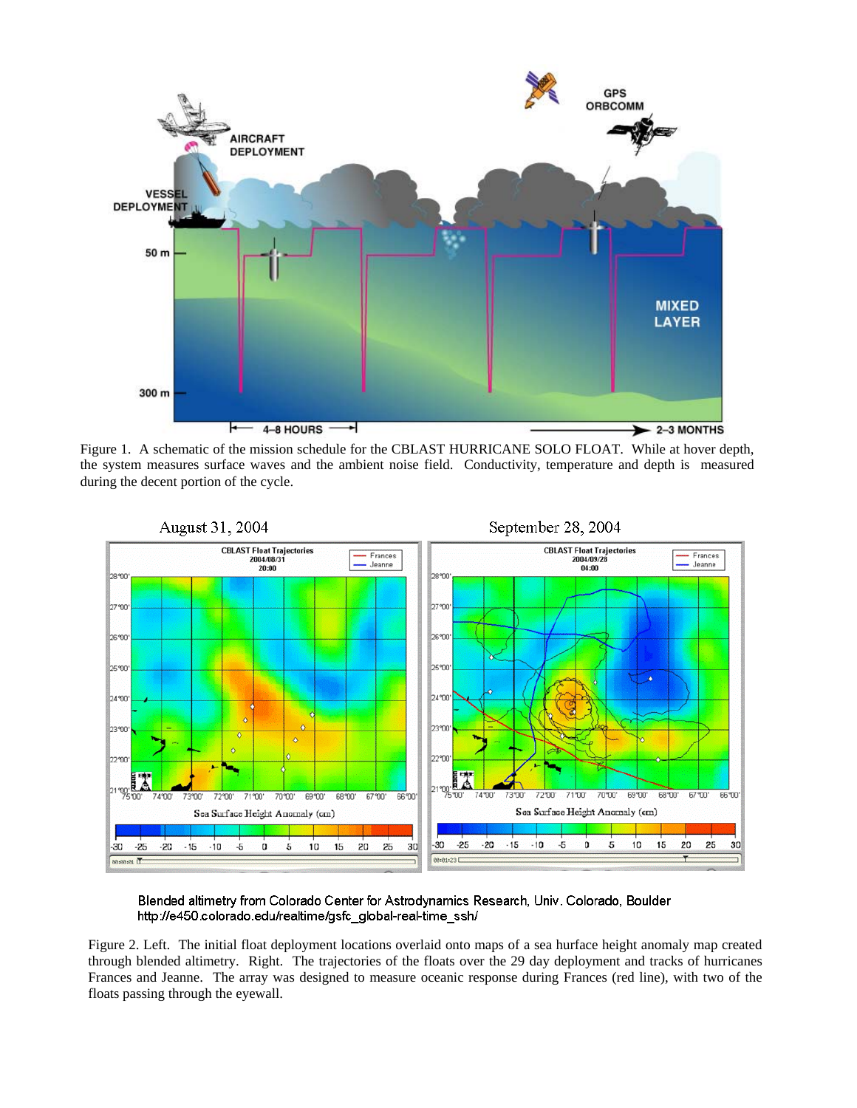

Figure 1. A schematic of the mission schedule for the CBLAST HURRICANE SOLO FLOAT. While at hover depth, the system measures surface waves and the ambient noise field. Conductivity, temperature and depth is measured during the decent portion of the cycle.



Blended altimetry from Colorado Center for Astrodynamics Research, Univ. Colorado, Boulder http://e450.colorado.edu/realtime/gsfc\_global-real-time\_ssh/

Figure 2. Left. The initial float deployment locations overlaid onto maps of a sea hurface height anomaly map created through blended altimetry. Right. The trajectories of the floats over the 29 day deployment and tracks of hurricanes Frances and Jeanne. The array was designed to measure oceanic response during Frances (red line), with two of the floats passing through the eyewall.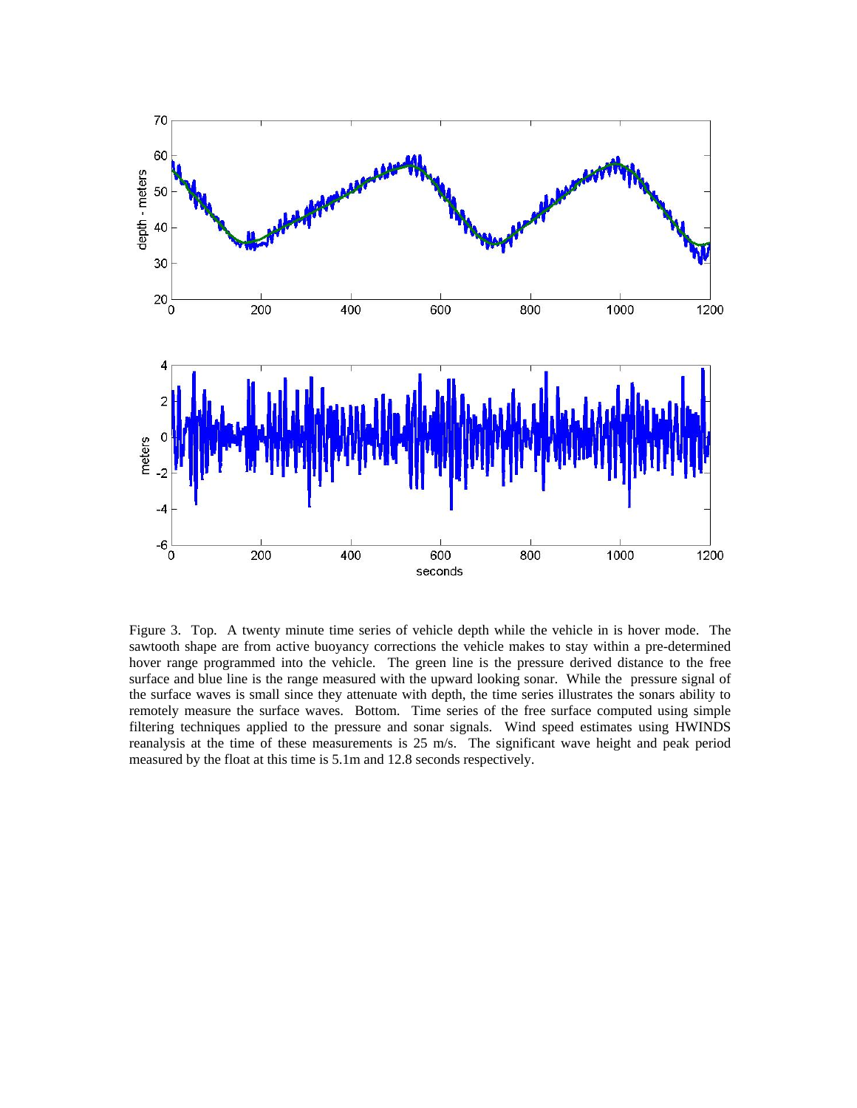

Figure 3. Top. A twenty minute time series of vehicle depth while the vehicle in is hover mode. The sawtooth shape are from active buoyancy corrections the vehicle makes to stay within a pre-determined hover range programmed into the vehicle. The green line is the pressure derived distance to the free surface and blue line is the range measured with the upward looking sonar. While the pressure signal of the surface waves is small since they attenuate with depth, the time series illustrates the sonars ability to remotely measure the surface waves. Bottom. Time series of the free surface computed using simple filtering techniques applied to the pressure and sonar signals. Wind speed estimates using HWINDS reanalysis at the time of these measurements is 25 m/s. The significant wave height and peak period measured by the float at this time is 5.1m and 12.8 seconds respectively.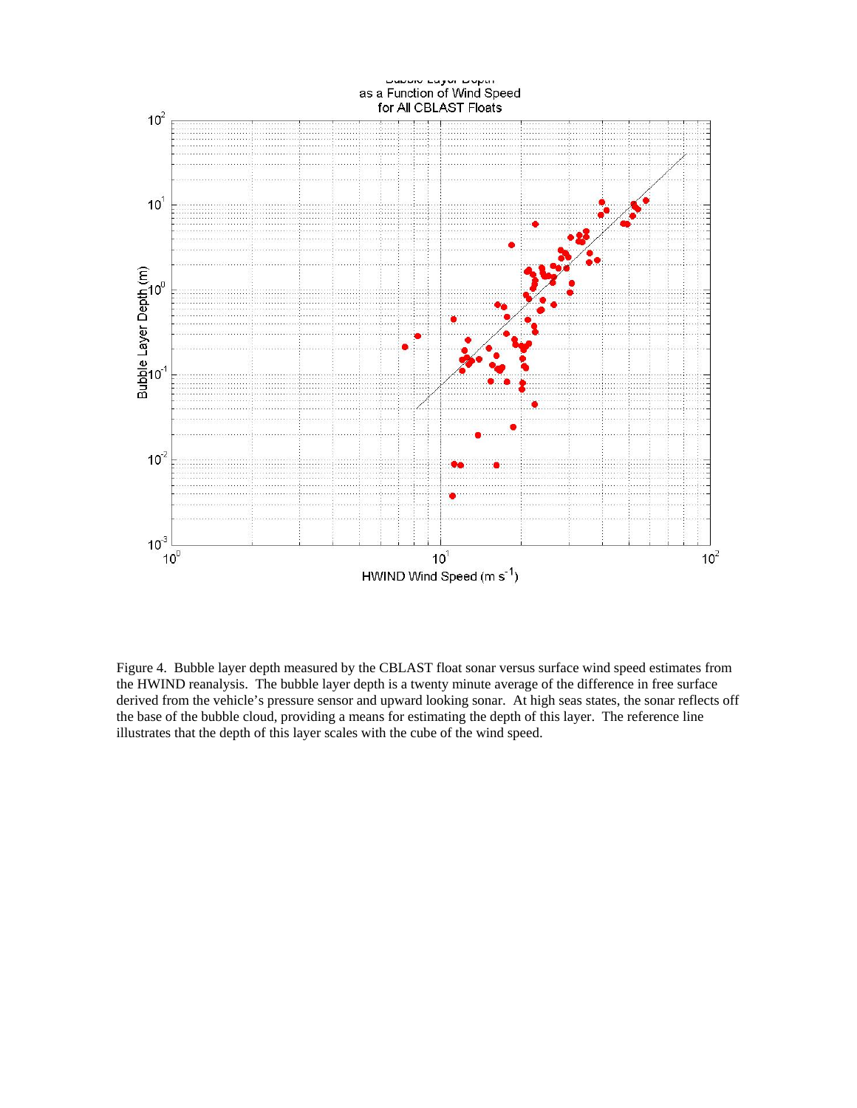

Figure 4. Bubble layer depth measured by the CBLAST float sonar versus surface wind speed estimates from the HWIND reanalysis. The bubble layer depth is a twenty minute average of the difference in free surface derived from the vehicle's pressure sensor and upward looking sonar. At high seas states, the sonar reflects off the base of the bubble cloud, providing a means for estimating the depth of this layer. The reference line illustrates that the depth of this layer scales with the cube of the wind speed.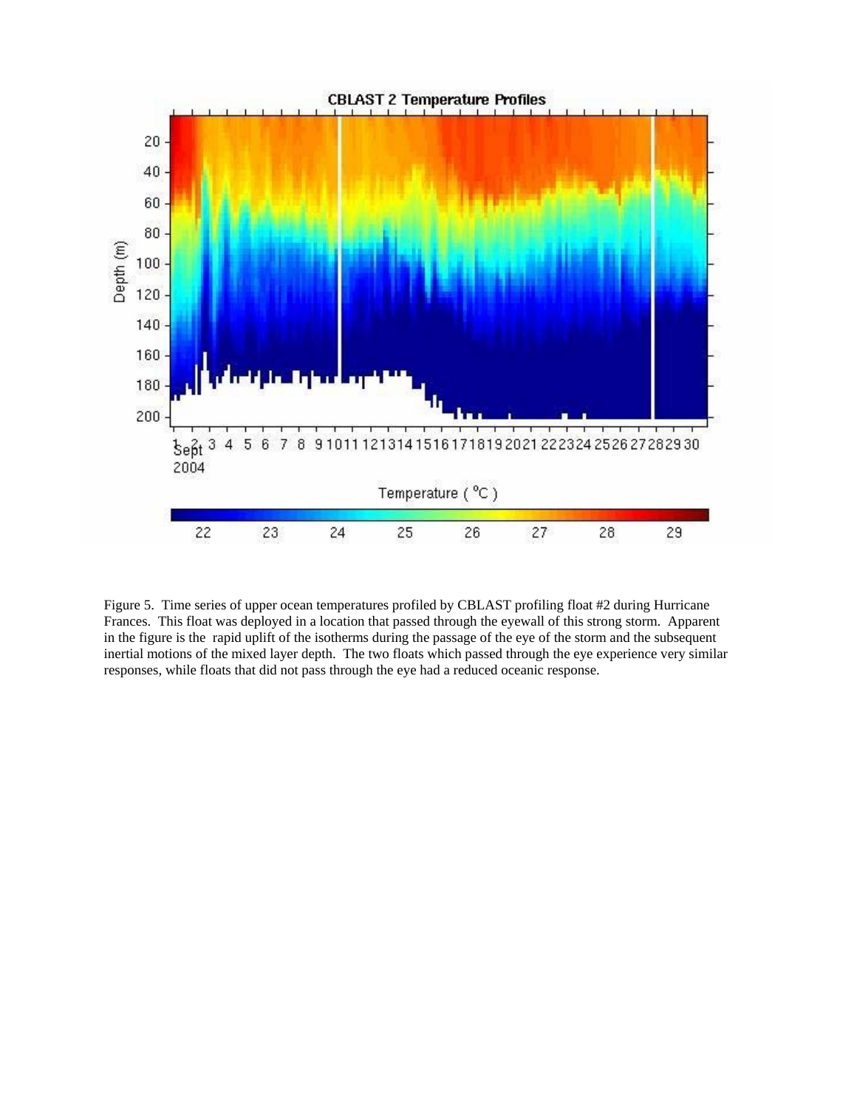

Figure 5. Time series of upper ocean temperatures profiled by CBLAST profiling float #2 during Hurricane Frances. This float was deployed in a location that passed through the eyewall of this strong storm. Apparent in the figure is the rapid uplift of the isotherms during the passage of the eye of the storm and the subsequent inertial motions of the mixed layer depth. The two floats which passed through the eye experience very similar responses, while floats that did not pass through the eye had a reduced oceanic response.